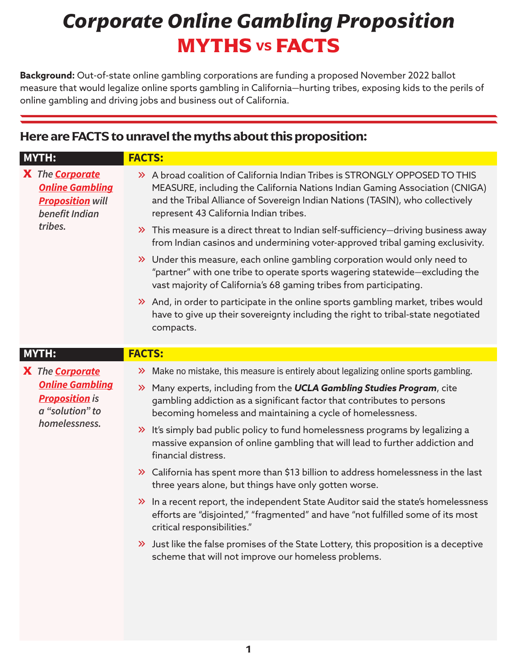## *Corporate Online Gambling Proposition*  **MYTHS VS FACTS**

**Background:** Out-of-state online gambling corporations are funding a proposed November 2022 ballot measure that would legalize online sports gambling in California—hurting tribes, exposing kids to the perils of online gambling and driving jobs and business out of California.

## **Here are FACTS to unravel the myths about this proposition:**

| <b>MYTH:</b>                                                                                             | <b>FACTS:</b>                                                                                                                                                                                                                                                                                                                                                                                                                                                                                                                                                                                                                                                                                                                                                                                                                                                                                                                                                                                                   |
|----------------------------------------------------------------------------------------------------------|-----------------------------------------------------------------------------------------------------------------------------------------------------------------------------------------------------------------------------------------------------------------------------------------------------------------------------------------------------------------------------------------------------------------------------------------------------------------------------------------------------------------------------------------------------------------------------------------------------------------------------------------------------------------------------------------------------------------------------------------------------------------------------------------------------------------------------------------------------------------------------------------------------------------------------------------------------------------------------------------------------------------|
| X The <b>Corporate</b><br><b>Online Gambling</b><br><b>Proposition will</b><br>benefit Indian<br>tribes. | > A broad coalition of California Indian Tribes is STRONGLY OPPOSED TO THIS<br>MEASURE, including the California Nations Indian Gaming Association (CNIGA)<br>and the Tribal Alliance of Sovereign Indian Nations (TASIN), who collectively<br>represent 43 California Indian tribes.<br>$\gg$ This measure is a direct threat to Indian self-sufficiency-driving business away<br>from Indian casinos and undermining voter-approved tribal gaming exclusivity.<br>>> Under this measure, each online gambling corporation would only need to<br>"partner" with one tribe to operate sports wagering statewide-excluding the<br>vast majority of California's 68 gaming tribes from participating.<br>>> And, in order to participate in the online sports gambling market, tribes would<br>have to give up their sovereignty including the right to tribal-state negotiated<br>compacts.                                                                                                                      |
| <b>MYTH:</b>                                                                                             | <b>FACTS:</b>                                                                                                                                                                                                                                                                                                                                                                                                                                                                                                                                                                                                                                                                                                                                                                                                                                                                                                                                                                                                   |
| X The Corporate<br><b>Online Gambling</b><br><b>Proposition</b> is<br>a "solution" to<br>homelessness.   | >> Make no mistake, this measure is entirely about legalizing online sports gambling.<br>>> Many experts, including from the UCLA Gambling Studies Program, cite<br>gambling addiction as a significant factor that contributes to persons<br>becoming homeless and maintaining a cycle of homelessness.<br>>> It's simply bad public policy to fund homelessness programs by legalizing a<br>massive expansion of online gambling that will lead to further addiction and<br>financial distress.<br>>> California has spent more than \$13 billion to address homelessness in the last<br>three years alone, but things have only gotten worse.<br>>> In a recent report, the independent State Auditor said the state's homelessness<br>efforts are "disjointed," "fragmented" and have "not fulfilled some of its most<br>critical responsibilities."<br>$\lambda$ Just like the false promises of the State Lottery, this proposition is a deceptive<br>scheme that will not improve our homeless problems. |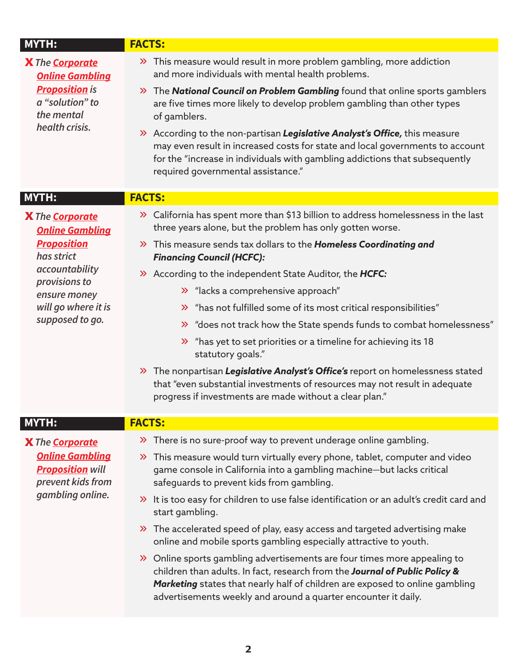| <b>MYTH:</b>                                                           | <b>FACTS:</b>                                                                                                                                                                                                                                                                                              |
|------------------------------------------------------------------------|------------------------------------------------------------------------------------------------------------------------------------------------------------------------------------------------------------------------------------------------------------------------------------------------------------|
| X The Corporate<br><b>Online Gambling</b>                              | >> This measure would result in more problem gambling, more addiction<br>and more individuals with mental health problems.                                                                                                                                                                                 |
| <b>Proposition</b> is<br>a "solution" to<br>the mental                 | $\gg$ The <b>National Council on Problem Gambling</b> found that online sports gamblers<br>are five times more likely to develop problem gambling than other types<br>of gamblers.                                                                                                                         |
| health crisis.                                                         | >> According to the non-partisan Legislative Analyst's Office, this measure<br>may even result in increased costs for state and local governments to account<br>for the "increase in individuals with gambling addictions that subsequently<br>required governmental assistance."                          |
| MYTH:                                                                  | <b>FACTS:</b>                                                                                                                                                                                                                                                                                              |
| <b>X</b> The <b>Corporate</b><br><b>Online Gambling</b>                | >> California has spent more than \$13 billion to address homelessness in the last<br>three years alone, but the problem has only gotten worse.                                                                                                                                                            |
| <b>Proposition</b><br>has strict                                       | >> This measure sends tax dollars to the Homeless Coordinating and<br><b>Financing Council (HCFC):</b>                                                                                                                                                                                                     |
| accountability                                                         | >> According to the independent State Auditor, the HCFC:                                                                                                                                                                                                                                                   |
| provisions to<br>ensure money                                          | >> "lacks a comprehensive approach"                                                                                                                                                                                                                                                                        |
| will go where it is                                                    | > "has not fulfilled some of its most critical responsibilities"                                                                                                                                                                                                                                           |
| supposed to go.                                                        | <sup>2</sup> does not track how the State spends funds to combat homelessness"                                                                                                                                                                                                                             |
|                                                                        | $\lambda$ "has yet to set priorities or a timeline for achieving its 18<br>statutory goals."                                                                                                                                                                                                               |
|                                                                        | >> The nonpartisan Legislative Analyst's Office's report on homelessness stated<br>that "even substantial investments of resources may not result in adequate<br>progress if investments are made without a clear plan."                                                                                   |
| <b>MYTH:</b>                                                           | <b>FACTS:</b>                                                                                                                                                                                                                                                                                              |
| X The <b>Corporate</b>                                                 | $\lambda$ There is no sure-proof way to prevent underage online gambling.                                                                                                                                                                                                                                  |
| <b>Online Gambling</b><br><b>Proposition will</b><br>prevent kids from | $\lambda$ This measure would turn virtually every phone, tablet, computer and video<br>game console in California into a gambling machine-but lacks critical<br>safeguards to prevent kids from gambling.                                                                                                  |
| gambling online.                                                       | $\rightarrow$ It is too easy for children to use false identification or an adult's credit card and<br>start gambling.                                                                                                                                                                                     |
|                                                                        | >> The accelerated speed of play, easy access and targeted advertising make<br>online and mobile sports gambling especially attractive to youth.                                                                                                                                                           |
|                                                                        | >> Online sports gambling advertisements are four times more appealing to<br>children than adults. In fact, research from the Journal of Public Policy &<br>Marketing states that nearly half of children are exposed to online gambling<br>advertisements weekly and around a quarter encounter it daily. |